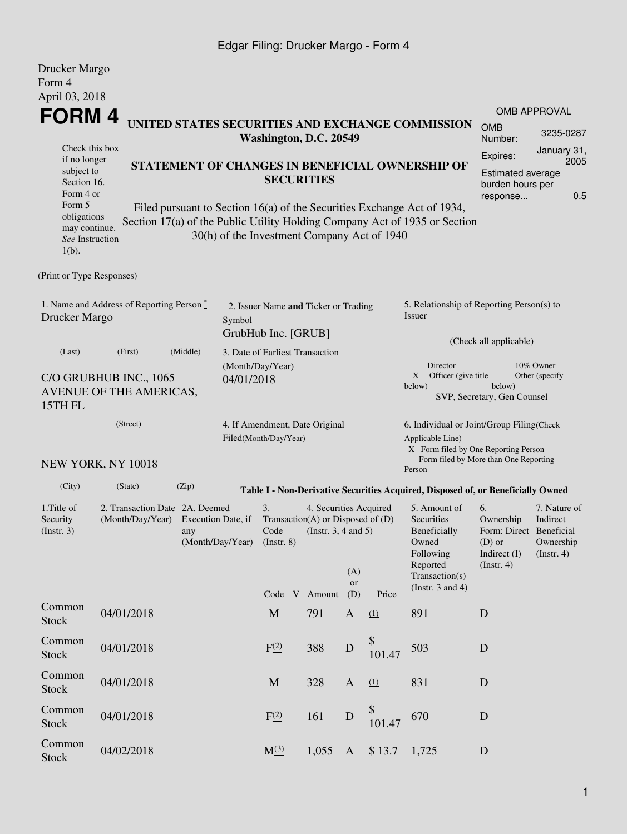#### Edgar Filing: Drucker Margo - Form 4

| Drucker Margo<br>Form 4                                                                                             |                                                                    |                                                                                 |            |                                                                  |                                                                                                          |                  |              |                                                                                                                                                                                                          |                                                                                            |                                                           |  |
|---------------------------------------------------------------------------------------------------------------------|--------------------------------------------------------------------|---------------------------------------------------------------------------------|------------|------------------------------------------------------------------|----------------------------------------------------------------------------------------------------------|------------------|--------------|----------------------------------------------------------------------------------------------------------------------------------------------------------------------------------------------------------|--------------------------------------------------------------------------------------------|-----------------------------------------------------------|--|
| April 03, 2018                                                                                                      |                                                                    |                                                                                 |            |                                                                  |                                                                                                          |                  |              |                                                                                                                                                                                                          |                                                                                            |                                                           |  |
| FORM 4                                                                                                              |                                                                    |                                                                                 |            |                                                                  |                                                                                                          |                  |              | UNITED STATES SECURITIES AND EXCHANGE COMMISSION                                                                                                                                                         | <b>OMB</b>                                                                                 | 3235-0287                                                 |  |
| Check this box                                                                                                      |                                                                    |                                                                                 |            | Washington, D.C. 20549                                           |                                                                                                          |                  |              |                                                                                                                                                                                                          | Number:                                                                                    |                                                           |  |
| if no longer<br>subject to<br>Section 16.<br>Form 4 or<br>Form 5<br>obligations<br>may continue.<br>See Instruction |                                                                    |                                                                                 |            | <b>SECURITIES</b><br>30(h) of the Investment Company Act of 1940 |                                                                                                          |                  |              | STATEMENT OF CHANGES IN BENEFICIAL OWNERSHIP OF<br>Filed pursuant to Section 16(a) of the Securities Exchange Act of 1934,<br>Section 17(a) of the Public Utility Holding Company Act of 1935 or Section | Expires:<br><b>Estimated average</b><br>burden hours per<br>response                       | 2005<br>0.5                                               |  |
| $1(b)$ .                                                                                                            |                                                                    |                                                                                 |            |                                                                  |                                                                                                          |                  |              |                                                                                                                                                                                                          |                                                                                            |                                                           |  |
| (Print or Type Responses)                                                                                           |                                                                    |                                                                                 |            |                                                                  |                                                                                                          |                  |              |                                                                                                                                                                                                          |                                                                                            |                                                           |  |
| Drucker Margo                                                                                                       | 1. Name and Address of Reporting Person $\stackrel{*}{\mathbb{L}}$ |                                                                                 | Symbol     | 2. Issuer Name and Ticker or Trading<br>GrubHub Inc. [GRUB]      |                                                                                                          |                  |              | 5. Relationship of Reporting Person(s) to<br>Issuer                                                                                                                                                      |                                                                                            | <b>OMB APPROVAL</b><br>January 31,                        |  |
| (Last)                                                                                                              | (First)                                                            | (Middle)                                                                        |            | 3. Date of Earliest Transaction                                  |                                                                                                          |                  |              |                                                                                                                                                                                                          | (Check all applicable)                                                                     |                                                           |  |
| 15TH FL                                                                                                             | C/O GRUBHUB INC., 1065<br>AVENUE OF THE AMERICAS,                  |                                                                                 | 04/01/2018 | (Month/Day/Year)                                                 |                                                                                                          |                  |              | Director<br>$X$ Officer (give title $\overline{\phantom{a}}$<br>below)                                                                                                                                   | below)<br>SVP, Secretary, Gen Counsel                                                      | 10% Owner<br>Other (specify                               |  |
|                                                                                                                     | (Street)                                                           |                                                                                 |            | 4. If Amendment, Date Original<br>Filed(Month/Day/Year)          |                                                                                                          |                  |              | 6. Individual or Joint/Group Filing(Check<br>Applicable Line)<br>$\_X$ Form filed by One Reporting Person                                                                                                |                                                                                            |                                                           |  |
|                                                                                                                     | NEW YORK, NY 10018                                                 |                                                                                 |            |                                                                  |                                                                                                          |                  |              | Form filed by More than One Reporting<br>Person                                                                                                                                                          |                                                                                            |                                                           |  |
| (City)                                                                                                              | (State)                                                            | (Zip)                                                                           |            |                                                                  |                                                                                                          |                  |              | Table I - Non-Derivative Securities Acquired, Disposed of, or Beneficially Owned                                                                                                                         |                                                                                            |                                                           |  |
| 1. Title of<br>Security<br>$($ Instr. 3 $)$                                                                         | (Month/Day/Year)                                                   | 2. Transaction Date 2A. Deemed<br>Execution Date, if<br>any<br>(Month/Day/Year) |            |                                                                  | 4. Securities Acquired<br>Transaction(A) or Disposed of (D)<br>(Instr. $3, 4$ and $5$ )<br>Code V Amount | (A)<br>or<br>(D) | Price        | 5. Amount of<br>Securities<br>Beneficially<br>Owned<br>Following<br>Reported<br>Transaction(s)<br>(Instr. $3$ and $4$ )                                                                                  | 6.<br>Ownership<br>Form: Direct Beneficial<br>$(D)$ or<br>Indirect (I)<br>$($ Instr. 4 $)$ | 7. Nature of<br>Indirect<br>Ownership<br>$($ Instr. 4 $)$ |  |
| Common<br><b>Stock</b>                                                                                              | 04/01/2018                                                         |                                                                                 |            | M                                                                | 791                                                                                                      | $\mathbf{A}$     | (1)          | 891                                                                                                                                                                                                      | D                                                                                          |                                                           |  |
| Common<br><b>Stock</b>                                                                                              | 04/01/2018                                                         |                                                                                 |            | F <sub>(2)</sub>                                                 | 388                                                                                                      | $\mathbf D$      | \$<br>101.47 | 503                                                                                                                                                                                                      | $\mathbf D$                                                                                |                                                           |  |
| Common<br><b>Stock</b>                                                                                              | 04/01/2018                                                         |                                                                                 |            | M                                                                | 328                                                                                                      | $\mathbf{A}$     | (1)          | 831                                                                                                                                                                                                      | D                                                                                          |                                                           |  |
| Common<br><b>Stock</b>                                                                                              | 04/01/2018                                                         |                                                                                 |            | F <sup>(2)</sup>                                                 | 161                                                                                                      | $\mathbf D$      | \$<br>101.47 | 670                                                                                                                                                                                                      | D                                                                                          |                                                           |  |
| Common<br><b>Stock</b>                                                                                              | 04/02/2018                                                         |                                                                                 |            | $M_{-}^{(3)}$                                                    | 1,055                                                                                                    | $\mathbf{A}$     | \$13.7       | 1,725                                                                                                                                                                                                    | ${\bf D}$                                                                                  |                                                           |  |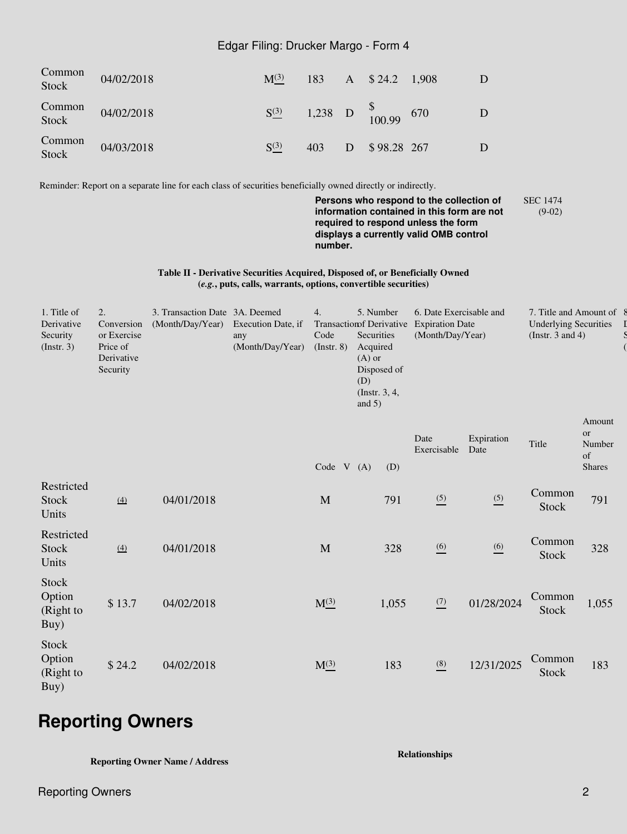#### Edgar Filing: Drucker Margo - Form 4

| Common<br>Stock | 04/02/2018 | $M^{(3)}$ | 183 | $A \quad $24.2 \quad 1,908$                                           |  |
|-----------------|------------|-----------|-----|-----------------------------------------------------------------------|--|
| Common<br>Stock | 04/02/2018 | $S^{(3)}$ |     | 1,238 D $\begin{array}{cc} \text{8} \\ \text{100.99} \end{array}$ 670 |  |
| Common<br>Stock | 04/03/2018 | $S^{(3)}$ | 403 | D \$98.28 267                                                         |  |

Reminder: Report on a separate line for each class of securities beneficially owned directly or indirectly.

**Persons who respond to the collection of information contained in this form are not required to respond unless the form displays a currently valid OMB control number.** SEC 1474 (9-02)

**Table II - Derivative Securities Acquired, Disposed of, or Beneficially Owned (***e.g.***, puts, calls, warrants, options, convertible securities)**

| 1. Title of<br>Derivative<br>Security<br>$($ Instr. 3 $)$ | 2.<br>Conversion<br>or Exercise<br>Price of<br>Derivative<br>Security | 3. Transaction Date 3A. Deemed<br>(Month/Day/Year) | Execution Date, if<br>any<br>(Month/Day/Year) | 4.<br>Code<br>(Instr. 8) | 5. Number<br><b>Transactionsf Derivative</b><br>Securities<br>Acquired<br>$(A)$ or<br>Disposed of<br>(D)<br>(Instr. 3, 4,<br>and $5)$ | 6. Date Exercisable and<br><b>Expiration Date</b><br>(Month/Day/Year) |                    | 7. Title and Amount of 8<br><b>Underlying Securities</b><br>(Instr. $3$ and $4$ ) |                                                                                                                                                      |
|-----------------------------------------------------------|-----------------------------------------------------------------------|----------------------------------------------------|-----------------------------------------------|--------------------------|---------------------------------------------------------------------------------------------------------------------------------------|-----------------------------------------------------------------------|--------------------|-----------------------------------------------------------------------------------|------------------------------------------------------------------------------------------------------------------------------------------------------|
|                                                           |                                                                       |                                                    |                                               | Code V                   | (A)<br>(D)                                                                                                                            | Date<br>Exercisable                                                   | Expiration<br>Date | Title                                                                             | Amount<br><b>or</b><br>Number<br>$% \left( \left( \mathcal{A},\mathcal{A}\right) \right) =\left( \mathcal{A},\mathcal{A}\right)$ of<br><b>Shares</b> |
| Restricted<br>Stock<br>Units                              | $\underline{(4)}$                                                     | 04/01/2018                                         |                                               | M                        | 791                                                                                                                                   | $\frac{(5)}{2}$                                                       | (5)                | Common<br><b>Stock</b>                                                            | 791                                                                                                                                                  |
| Restricted<br>Stock<br>Units                              | $\underline{(4)}$                                                     | 04/01/2018                                         |                                               | M                        | 328                                                                                                                                   | $\underline{(6)}$                                                     | (6)                | Common<br>Stock                                                                   | 328                                                                                                                                                  |
| <b>Stock</b><br>Option<br>(Right to<br>Buy)               | \$13.7                                                                | 04/02/2018                                         |                                               | $M^{(3)}_{-}$            | 1,055                                                                                                                                 | $\frac{(7)}{2}$                                                       | 01/28/2024         | Common<br>Stock                                                                   | 1,055                                                                                                                                                |
| Stock<br>Option<br>(Right to<br>Buy)                      | \$24.2                                                                | 04/02/2018                                         |                                               | $M^{(3)}_{-}$            | 183                                                                                                                                   | $\underline{\overset{(8)}{ }}$                                        | 12/31/2025         | Common<br>Stock                                                                   | 183                                                                                                                                                  |

# **Reporting Owners**

**Reporting Owner Name / Address**

**Relationships**